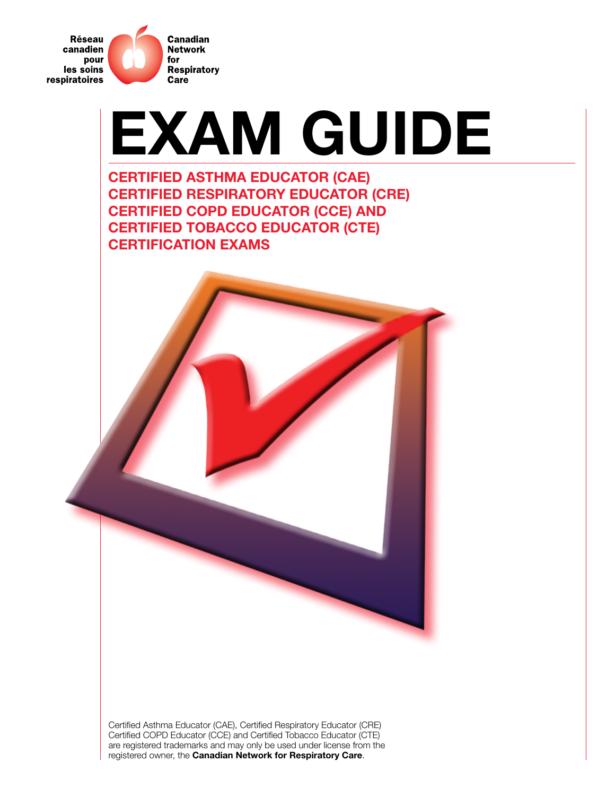

# **EXAM GUIDE**

**CERTIFIED ASTHMA EDUCATOR (CAE) CERTIFIED RESPIRATORY EDUCATOR (CRE) CERTIFIED COPD EDUCATOR (CCE) AND CERTIFIED TOBACCO EDUCATOR (CTE) CERTIFICATION EXAMS**

Certified Asthma Educator (CAE), Certified Respiratory Educator (CRE) Certified COPD Educator (CCE) and Certified Tobacco Educator (CTE) are registered trademarks and may only be used under license from the registered owner, the **Canadian Network for Respiratory Care**.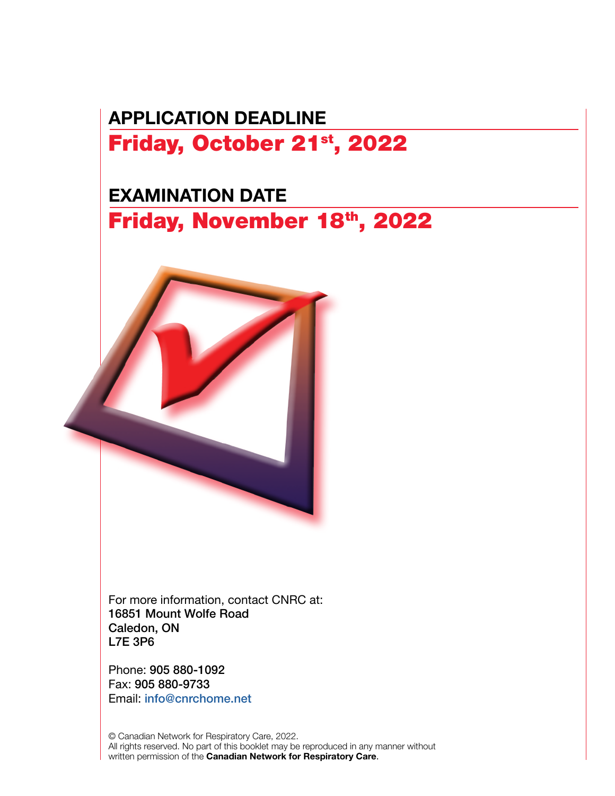### **APPLICATION DEADLINE** Friday, October 21st, 2022

### **EXAMINATION DATE** Friday, November 18th, 2022



For more information, contact CNRC at: 16851 Mount Wolfe Road Caledon, ON L7E 3P6

Phone: 905 880-1092 Fax: 905 880-9733 Email: [info@cnrchome.net](mailto:info@cnrchome.net)

© Canadian Network for Respiratory Care, 2022. All rights reserved. No part of this booklet may be reproduced in any manner without written permission of the **Canadian Network for Respiratory Care**.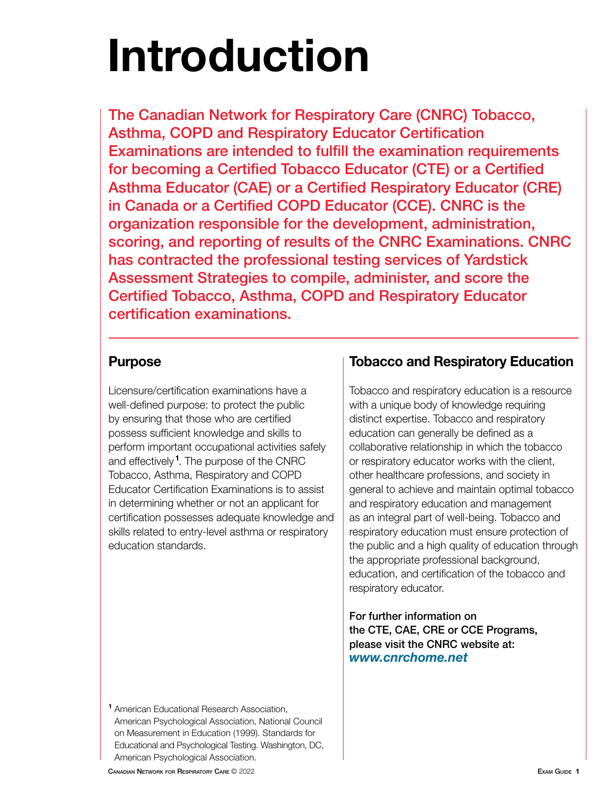## **Introduction**

The Canadian Network for Respiratory Care (CNRC) Tobacco, Asthma, COPD and Respiratory Educator Certification Examinations are intended to fulfill the examination requirements for becoming a Certified Tobacco Educator (CTE) or a Certified Asthma Educator (CAE) or a Certified Respiratory Educator (CRE) in Canada or a Certified COPD Educator (CCE). CNRC is the organization responsible for the development, administration, scoring, and reporting of results of the CNRC Examinations. CNRC has contracted the professional testing services of Yardstick Assessment Strategies to compile, administer, and score the Certified Tobacco, Asthma, COPD and Respiratory Educator certification examinations.

#### **Purpose**

Licensure/certification examinations have a well-defined purpose: to protect the public by ensuring that those who are certified possess sufficient knowledge and skills to perform important occupational activities safely and effectively **<sup>1</sup>** . The purpose of the CNRC Tobacco, Asthma, Respiratory and COPD Educator Certification Examinations is to assist in determining whether or not an applicant for certification possesses adequate knowledge and skills related to entry-level asthma or respiratory education standards.

### **Tobacco and Respiratory Education**

Tobacco and respiratory education is a resource with a unique body of knowledge requiring distinct expertise. Tobacco and respiratory education can generally be defined as a collaborative relationship in which the tobacco or respiratory educator works with the client, other healthcare professions, and society in general to achieve and maintain optimal tobacco and respiratory education and management as an integral part of well-being. Tobacco and respiratory education must ensure protection of the public and a high quality of education through the appropriate professional background, education, and certification of the tobacco and respiratory educator.

For further information on the CTE, CAE, CRE or CCE Programs, please visit the CNRC website at: *www.cnrchome.net*

**<sup>1</sup>** American Educational Research Association, American Psychological Association, National Council on Measurement in Education (1999). Standards for Educational and Psychological Testing. Washington, DC, American Psychological Association.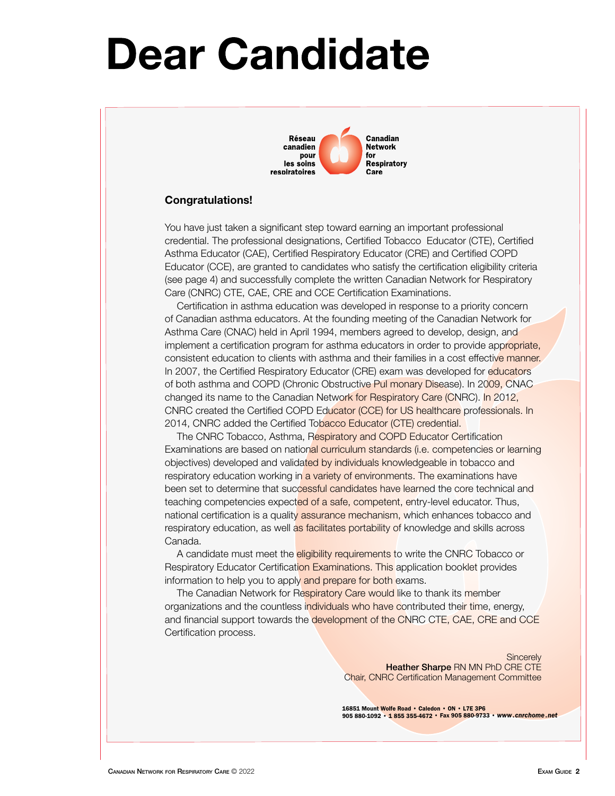## **Dear Candidate**



#### **Congratulations!**

You have just taken a significant step toward earning an important professional credential. The professional designations, Certified Tobacco Educator (CTE), Certified Asthma Educator (CAE), Certified Respiratory Educator (CRE) and Certified COPD Educator (CCE), are granted to candidates who satisfy the certification eligibility criteria (see page 4) and successfully complete the written Canadian Network for Respiratory Care (CNRC) CTE, CAE, CRE and CCE Certification Examinations.

Certification in asthma education was developed in response to a priority concern of Canadian asthma educators. At the founding meeting of the Canadian Network for Asthma Care (CNAC) held in April 1994, members agreed to develop, design, and implement a certification program for asthma educators in order to provide appropriate, consistent education to clients with asthma and their families in a cost effective manner. In 2007, the Certified Respiratory Educator (CRE) exam was developed for educators of both asthma and COPD (Chronic Obstructive Pul monary Disease). In 2009, CNAC changed its name to the Canadian Network for Respiratory Care (CNRC). In 2012, CNRC created the Certified COPD Educator (CCE) for US healthcare professionals. In 2014, CNRC added the Certified Tobacco Educator (CTE) credential.

The CNRC Tobacco, Asthma, Respiratory and COPD Educator Certification Examinations are based on national curriculum standards (i.e. competencies or learning objectives) developed and validated by individuals knowledgeable in tobacco and respiratory education working in a variety of environments. The examinations have been set to determine that successful candidates have learned the core technical and teaching competencies expected of a safe, competent, entry-level educator. Thus, national certification is a quality assurance mechanism, which enhances tobacco and respiratory education, as well as facilitates portability of knowledge and skills across Canada.

A candidate must meet the **eligibility requirements** to write the CNRC Tobacco or Respiratory Educator Certification Examinations. This application booklet provides information to help you to apply and prepare for both exams.

The Canadian Network for Respiratory Care would like to thank its member organizations and the countless individuals who have contributed their time, energy, and financial support towards the development of the CNRC CTE, CAE, CRE and CCE Certification process.

> **Sincerely** Heather Sharpe RN MN PhD CRE CTE Chair, CNRC Certification Management Committee

16851 Mount Wolfe Road • Caledon • ON • L7E 3P6 905 880-1092 • 1 855 355-4672 • Fax 905 880-9733 • www.cnrchome.net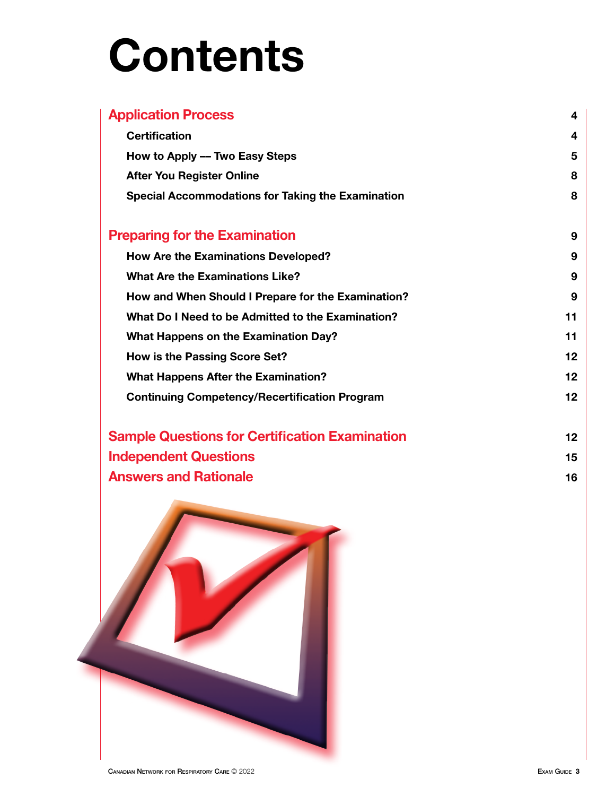## **Contents**

| <b>Application Process</b>                               |    |  |
|----------------------------------------------------------|----|--|
| <b>Certification</b>                                     | 4  |  |
| How to Apply - Two Easy Steps                            | 5  |  |
| <b>After You Register Online</b>                         | 8  |  |
| <b>Special Accommodations for Taking the Examination</b> | 8  |  |
| <b>Preparing for the Examination</b>                     | 9  |  |
| <b>How Are the Examinations Developed?</b>               | 9  |  |
| <b>What Are the Examinations Like?</b>                   | 9  |  |
| How and When Should I Prepare for the Examination?       | 9  |  |
| What Do I Need to be Admitted to the Examination?        | 11 |  |
| <b>What Happens on the Examination Day?</b>              | 11 |  |
| How is the Passing Score Set?                            | 12 |  |
| <b>What Happens After the Examination?</b>               | 12 |  |
| <b>Continuing Competency/Recertification Program</b>     | 12 |  |
| <b>Sample Questions for Certification Examination</b>    | 12 |  |
| <b>Independent Questions</b>                             |    |  |
| <b>Answers and Rationale</b>                             |    |  |

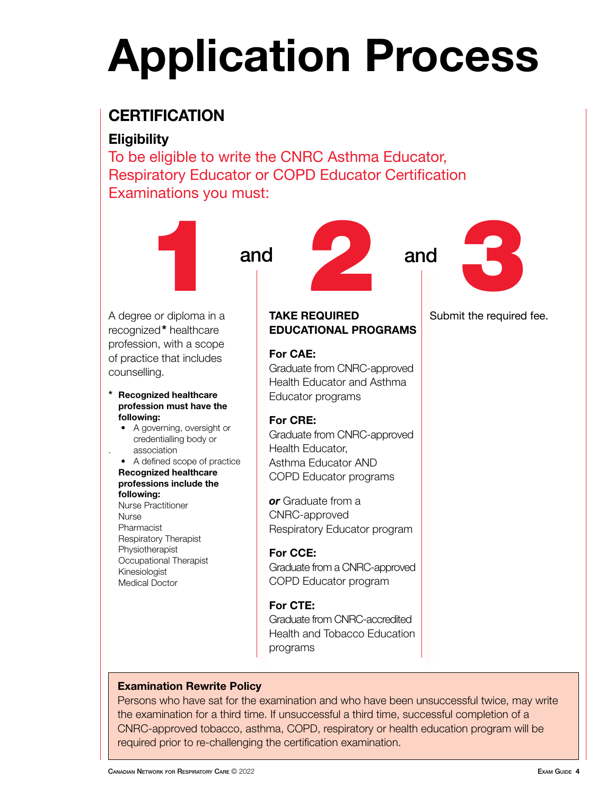## **Application Process**

### **CERTIFICATION**

#### **Eligibility**

To be eligible to write the CNRC Asthma Educator, Respiratory Educator or COPD Educator Certification Examinations you must:



A degree or diploma in a recognized **\*** healthcare profession, with a scope of practice that includes counselling.

- **\* Recognized healthcare profession must have the following:**
	- A governing, oversight or credentialling body or . association
	- A defined scope of practice **Recognized healthcare professions include the following:** Nurse Practitioner

Nurse Pharmacist Respiratory Therapist **Physiotherapist** Occupational Therapist Kinesiologist Medical Doctor



#### **TAKE REQUIRED EDUCATIONAL PROGRAMS**

#### **For CAE:**

Graduate from CNRC-approved Health Educator and Asthma Educator programs

#### **For CRE:**

Graduate from CNRC-approved Health Educator, Asthma Educator AND COPD Educator programs

*or* Graduate from a CNRC-approved Respiratory Educator program

**For CCE:** Graduate from a CNRC-approved COPD Educator program

**For CTE:** Graduate from CNRC-accredited Health and Tobacco Education programs



#### Submit the required fee.

#### **Examination Rewrite Policy**

Persons who have sat for the examination and who have been unsuccessful twice, may write the examination for a third time. If unsuccessful a third time, successful completion of a CNRC-approved tobacco, asthma, COPD, respiratory or health education program will be required prior to re-challenging the certification examination.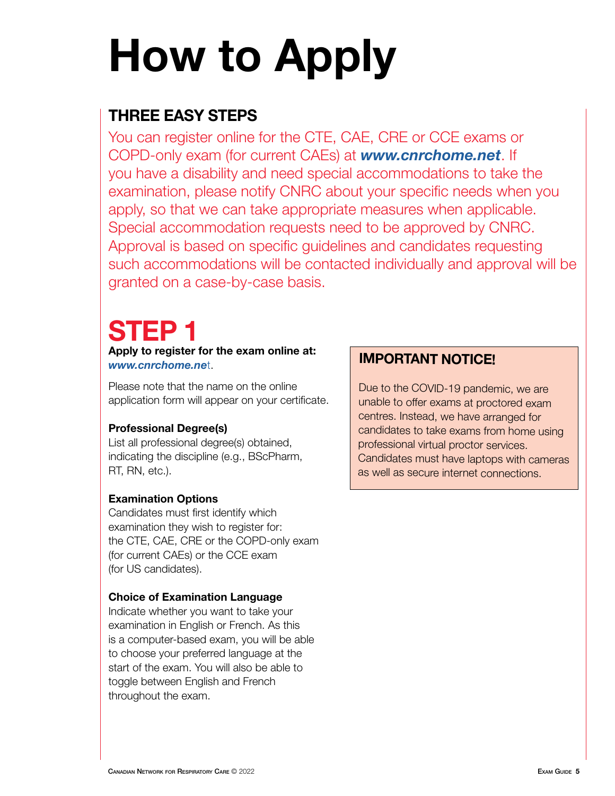## **How to Apply**

### **THREE EASY STEPS**

You can register online for the CTE, CAE, CRE or CCE exams or COPD-only exam (for current CAEs) at *[www.cnrchome.net](http://www.cnrchome.net)*. If you have a disability and need special accommodations to take the examination, please notify CNRC about your specific needs when you apply, so that we can take appropriate measures when applicable. Special accommodation requests need to be approved by CNRC. Approval is based on specific guidelines and candidates requesting such accommodations will be contacted individually and approval will be granted on a case-by-case basis.

### **STEP 1**

#### **Apply to register for the exam online at:**  *[www.cnrchome.ne](http://www.cnrchome.ne)*t.

Please note that the name on the online application form will appear on your certificate.

#### **Professional Degree(s)**

List all professional degree(s) obtained, indicating the discipline (e.g., BScPharm, RT, RN, etc.).

#### **Examination Options**

Candidates must first identify which examination they wish to register for: the CTE, CAE, CRE or the COPD-only exam (for current CAEs) or the CCE exam (for US candidates).

#### **Choice of Examination Language**

Indicate whether you want to take your examination in English or French. As this is a computer-based exam, you will be able to choose your preferred language at the start of the exam. You will also be able to toggle between English and French throughout the exam.

#### **IMPORTANT NOTICE!**

Due to the COVID-19 pandemic, we are unable to offer exams at proctored exam centres. Instead, we have arranged for candidates to take exams from home using professional virtual proctor services. Candidates must have laptops with cameras as well as secure internet connections.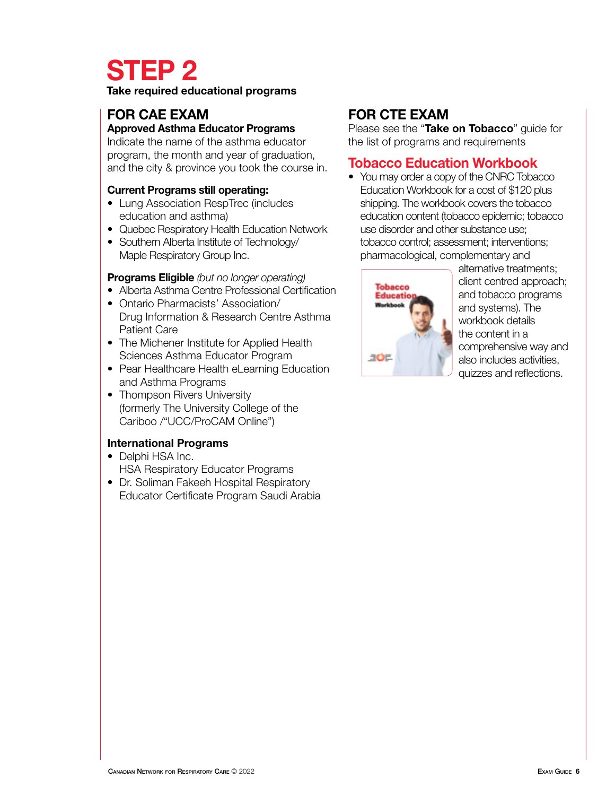## **STEP 2**

**Take required educational programs**

### **FOR CAE EXAM**

#### **Approved Asthma Educator Programs**

Indicate the name of the asthma educator program, the month and year of graduation, and the city & province you took the course in.

#### **Current Programs still operating:**

- Lung Association RespTrec (includes education and asthma)
- Quebec Respiratory Health Education Network
- Southern Alberta Institute of Technology/ Maple Respiratory Group Inc.

#### **Programs Eligible** *(but no longer operating)*

- Alberta Asthma Centre Professional Certification
- Ontario Pharmacists' Association/ Drug Information & Research Centre Asthma Patient Care
- The Michener Institute for Applied Health Sciences Asthma Educator Program
- Pear Healthcare Health eLearning Education and Asthma Programs
- Thompson Rivers University (formerly The University College of the Cariboo /"UCC/ProCAM Online")

#### **International Programs**

- Delphi HSA Inc. HSA Respiratory Educator Programs
- Dr. Soliman Fakeeh Hospital Respiratory Educator Certificate Program Saudi Arabia

#### **FOR CTE EXAM**

Please see the "**Take on Tobacco**" guide for the list of programs and requirements

#### **Tobacco Education Workbook**

• You may order a copy of the CNRC Tobacco Education Workbook for a cost of \$120 plus shipping. The workbook covers the tobacco education content (tobacco epidemic; tobacco use disorder and other substance use; tobacco control; assessment; interventions; pharmacological, complementary and



alternative treatments; client centred approach; and tobacco programs and systems). The workbook details the content in a comprehensive way and also includes activities, quizzes and reflections.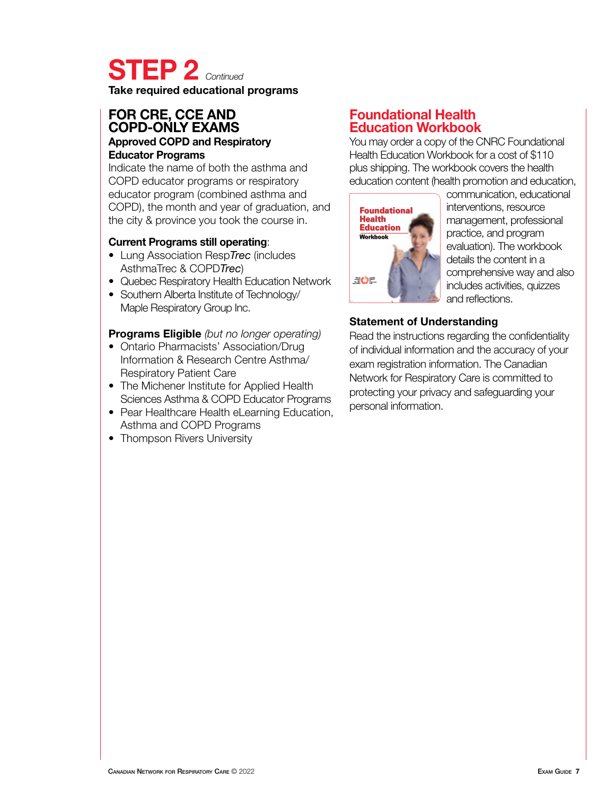### **STEP 2** *Continued* **Take required educational programs**

#### **FOR CRE, CCE AND COPD-ONLY EXAMS Approved COPD and Respiratory Educator Programs**

Indicate the name of both the asthma and COPD educator programs or respiratory educator program (combined asthma and COPD), the month and year of graduation, and the city & province you took the course in.

#### **Current Programs still operating**:

- Lung Association Resp*Trec* (includes AsthmaTrec & COPD*Trec*)
- Quebec Respiratory Health Education Network
- Southern Alberta Institute of Technology/ Maple Respiratory Group Inc.

#### **Programs Eligible** *(but no longer operating)*

- Ontario Pharmacists' Association/Drug Information & Research Centre Asthma/ Respiratory Patient Care
- The Michener Institute for Applied Health Sciences Asthma & COPD Educator Programs
- Pear Healthcare Health eLearning Education, Asthma and COPD Programs
- Thompson Rivers University

#### **Foundational Health Education Workbook**

You may order a copy of the CNRC Foundational Health Education Workbook for a cost of \$110 plus shipping. The workbook covers the health education content (health promotion and education,



communication, educational interventions, resource management, professional practice, and program evaluation). The workbook details the content in a comprehensive way and also includes activities, quizzes and reflections.

#### **Statement of Understanding**

Read the instructions regarding the confidentiality of individual information and the accuracy of your exam registration information. The Canadian Network for Respiratory Care is committed to protecting your privacy and safeguarding your personal information.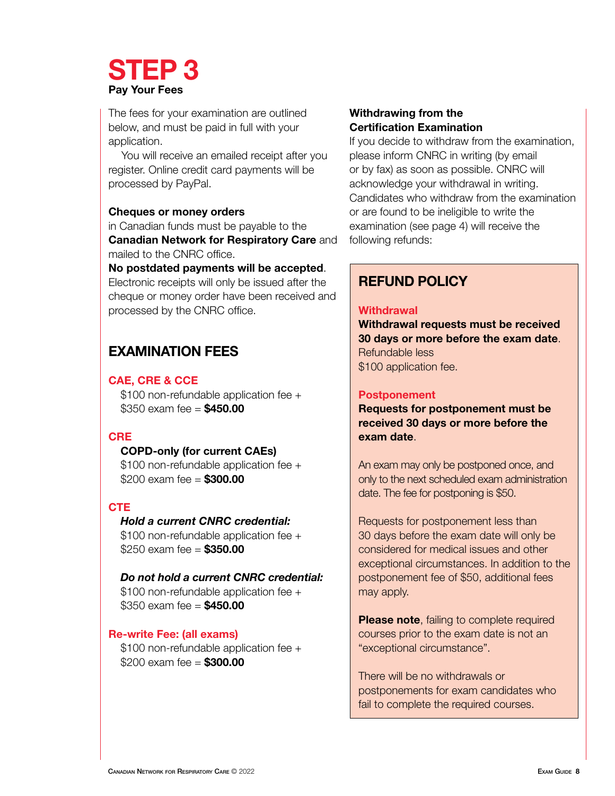

The fees for your examination are outlined below, and must be paid in full with your application.

You will receive an emailed receipt after you register. Online credit card payments will be processed by PayPal.

#### **Cheques or money orders**

in Canadian funds must be payable to the **Canadian Network for Respiratory Care** and mailed to the CNRC office.

#### **No postdated payments will be accepted**.

Electronic receipts will only be issued after the cheque or money order have been received and processed by the CNRC office.

#### **EXAMINATION FEES**

#### **CAE, CRE & CCE**

\$100 non-refundable application fee + \$350 exam fee = **\$450.00**

#### **CRE**

#### **COPD-only (for current CAEs)**

\$100 non-refundable application fee + \$200 exam fee = **\$300.00**

#### **CTE**

#### *Hold a current CNRC credential:*

\$100 non-refundable application fee + \$250 exam fee = **\$350.00**

#### *Do not hold a current CNRC credential:*

\$100 non-refundable application fee + \$350 exam fee = **\$450.00**

#### **Re-write Fee: (all exams)**

\$100 non-refundable application fee + \$200 exam fee = **\$300.00**

#### **Withdrawing from the Certification Examination**

If you decide to withdraw from the examination, please inform CNRC in writing (by email or by fax) as soon as possible. CNRC will acknowledge your withdrawal in writing. Candidates who withdraw from the examination or are found to be ineligible to write the examination (see page 4) will receive the following refunds:

#### **REFUND POLICY**

#### **Withdrawal**

**Withdrawal requests must be received 30 days or more before the exam date**. Refundable less \$100 application fee.

#### **Postponement**

**Requests for postponement must be received 30 days or more before the exam date**.

An exam may only be postponed once, and only to the next scheduled exam administration date. The fee for postponing is \$50.

Requests for postponement less than 30 days before the exam date will only be considered for medical issues and other exceptional circumstances. In addition to the postponement fee of \$50, additional fees may apply.

**Please note**, failing to complete required courses prior to the exam date is not an "exceptional circumstance".

There will be no withdrawals or postponements for exam candidates who fail to complete the required courses.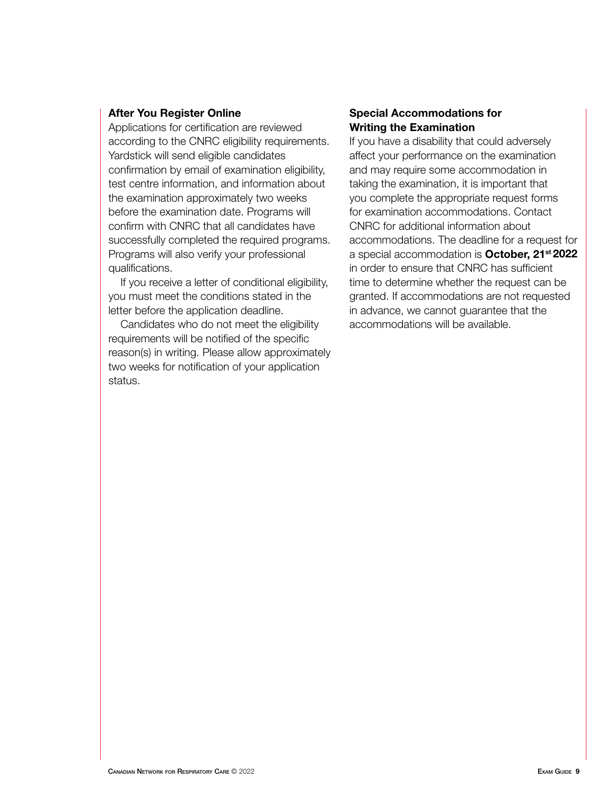#### **After You Register Online**

Applications for certification are reviewed according to the CNRC eligibility requirements. Yardstick will send eligible candidates confirmation by email of examination eligibility, test centre information, and information about the examination approximately two weeks before the examination date. Programs will confirm with CNRC that all candidates have successfully completed the required programs. Programs will also verify your professional qualifications.

If you receive a letter of conditional eligibility, you must meet the conditions stated in the letter before the application deadline.

Candidates who do not meet the eligibility requirements will be notified of the specific reason(s) in writing. Please allow approximately two weeks for notification of your application status.

#### **Special Accommodations for Writing the Examination**

If you have a disability that could adversely affect your performance on the examination and may require some accommodation in taking the examination, it is important that you complete the appropriate request forms for examination accommodations. Contact CNRC for additional information about accommodations. The deadline for a request for a special accommodation is **October, 21st 2022** in order to ensure that CNRC has sufficient time to determine whether the request can be granted. If accommodations are not requested in advance, we cannot guarantee that the accommodations will be available.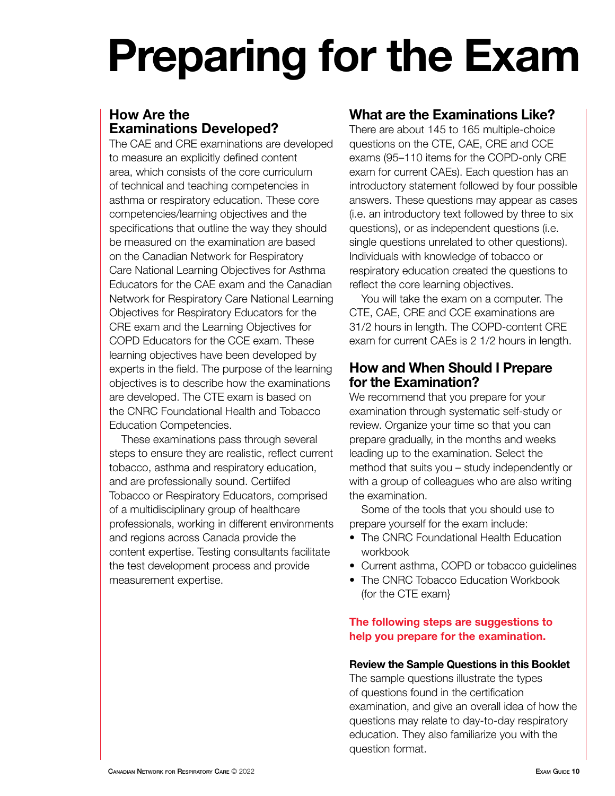## **Preparing for the Exam**

#### **How Are the Examinations Developed?**

The CAE and CRE examinations are developed to measure an explicitly defined content area, which consists of the core curriculum of technical and teaching competencies in asthma or respiratory education. These core competencies/learning objectives and the specifications that outline the way they should be measured on the examination are based on the Canadian Network for Respiratory Care National Learning Objectives for Asthma Educators for the CAE exam and the Canadian Network for Respiratory Care National Learning Objectives for Respiratory Educators for the CRE exam and the Learning Objectives for COPD Educators for the CCE exam. These learning objectives have been developed by experts in the field. The purpose of the learning objectives is to describe how the examinations are developed. The CTE exam is based on the CNRC Foundational Health and Tobacco Education Competencies.

These examinations pass through several steps to ensure they are realistic, reflect current tobacco, asthma and respiratory education, and are professionally sound. Certiifed Tobacco or Respiratory Educators, comprised of a multidisciplinary group of healthcare professionals, working in different environments and regions across Canada provide the content expertise. Testing consultants facilitate the test development process and provide measurement expertise.

#### **What are the Examinations Like?**

There are about 145 to 165 multiple-choice questions on the CTE, CAE, CRE and CCE exams (95–110 items for the COPD-only CRE exam for current CAEs). Each question has an introductory statement followed by four possible answers. These questions may appear as cases (i.e. an introductory text followed by three to six questions), or as independent questions (i.e. single questions unrelated to other questions). Individuals with knowledge of tobacco or respiratory education created the questions to reflect the core learning objectives.

You will take the exam on a computer. The CTE, CAE, CRE and CCE examinations are 31/2 hours in length. The COPD-content CRE exam for current CAEs is 2 1/2 hours in length.

#### **How and When Should I Prepare for the Examination?**

We recommend that you prepare for your examination through systematic self-study or review. Organize your time so that you can prepare gradually, in the months and weeks leading up to the examination. Select the method that suits you – study independently or with a group of colleagues who are also writing the examination.

Some of the tools that you should use to prepare yourself for the exam include:

- The CNRC Foundational Health Education workbook
- Current asthma, COPD or tobacco guidelines
- The CNRC Tobacco Education Workbook (for the CTE exam}

#### **The following steps are suggestions to help you prepare for the examination.**

#### **Review the Sample Questions in this Booklet**

The sample questions illustrate the types of questions found in the certification examination, and give an overall idea of how the questions may relate to day-to-day respiratory education. They also familiarize you with the question format.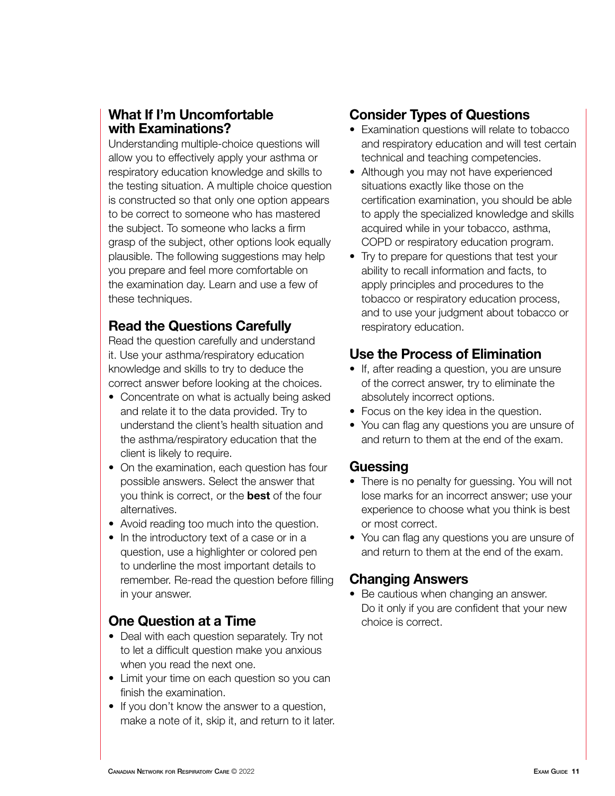#### **What If I'm Uncomfortable with Examinations?**

Understanding multiple-choice questions will allow you to effectively apply your asthma or respiratory education knowledge and skills to the testing situation. A multiple choice question is constructed so that only one option appears to be correct to someone who has mastered the subject. To someone who lacks a firm grasp of the subject, other options look equally plausible. The following suggestions may help you prepare and feel more comfortable on the examination day. Learn and use a few of these techniques.

#### **Read the Questions Carefully**

Read the question carefully and understand it. Use your asthma/respiratory education knowledge and skills to try to deduce the correct answer before looking at the choices.

- Concentrate on what is actually being asked and relate it to the data provided. Try to understand the client's health situation and the asthma/respiratory education that the client is likely to require.
- On the examination, each question has four possible answers. Select the answer that you think is correct, or the **best** of the four alternatives.
- Avoid reading too much into the question.
- In the introductory text of a case or in a question, use a highlighter or colored pen to underline the most important details to remember. Re-read the question before filling in your answer.

#### **One Question at a Time**

- Deal with each question separately. Try not to let a difficult question make you anxious when you read the next one.
- Limit your time on each question so you can finish the examination.
- If you don't know the answer to a question, make a note of it, skip it, and return to it later.

#### **Consider Types of Questions**

- Examination questions will relate to tobacco and respiratory education and will test certain technical and teaching competencies.
- Although you may not have experienced situations exactly like those on the certification examination, you should be able to apply the specialized knowledge and skills acquired while in your tobacco, asthma, COPD or respiratory education program.
- Try to prepare for questions that test your ability to recall information and facts, to apply principles and procedures to the tobacco or respiratory education process, and to use your judgment about tobacco or respiratory education.

#### **Use the Process of Elimination**

- If, after reading a question, you are unsure of the correct answer, try to eliminate the absolutely incorrect options.
- Focus on the key idea in the question.
- You can flag any questions you are unsure of and return to them at the end of the exam.

#### **Guessing**

- There is no penalty for guessing. You will not lose marks for an incorrect answer; use your experience to choose what you think is best or most correct.
- You can flag any questions you are unsure of and return to them at the end of the exam.

#### **Changing Answers**

• Be cautious when changing an answer. Do it only if you are confident that your new choice is correct.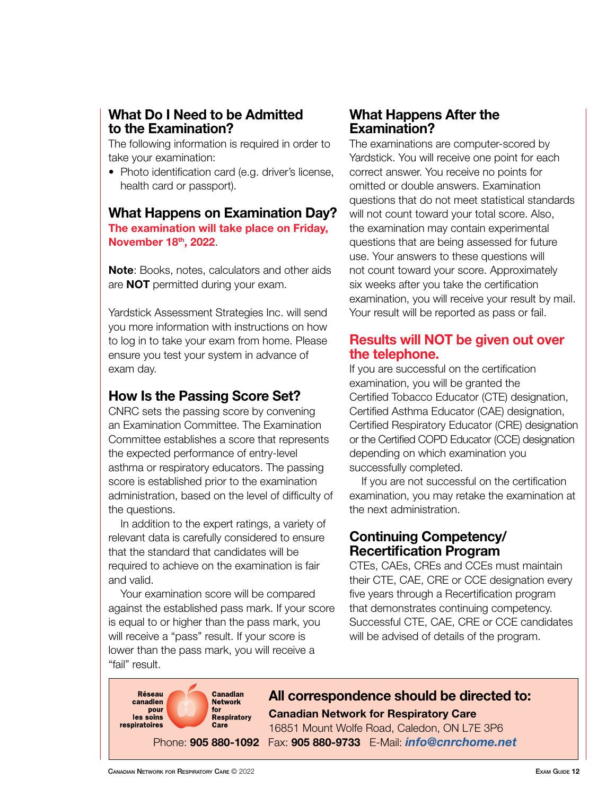#### **What Do I Need to be Admitted to the Examination?**

The following information is required in order to take your examination:

• Photo identification card (e.g. driver's license, health card or passport).

#### **What Happens on Examination Day? The examination will take place on Friday, November 18th, 2022**.

**Note**: Books, notes, calculators and other aids are **NOT** permitted during your exam.

Yardstick Assessment Strategies Inc. will send you more information with instructions on how to log in to take your exam from home. Please ensure you test your system in advance of exam day.

#### **How Is the Passing Score Set?**

CNRC sets the passing score by convening an Examination Committee. The Examination Committee establishes a score that represents the expected performance of entry-level asthma or respiratory educators. The passing score is established prior to the examination administration, based on the level of difficulty of the questions.

In addition to the expert ratings, a variety of relevant data is carefully considered to ensure that the standard that candidates will be required to achieve on the examination is fair and valid.

Your examination score will be compared against the established pass mark. If your score is equal to or higher than the pass mark, you will receive a "pass" result. If your score is lower than the pass mark, you will receive a "fail" result.

#### **What Happens After the Examination?**

The examinations are computer-scored by Yardstick. You will receive one point for each correct answer. You receive no points for omitted or double answers. Examination questions that do not meet statistical standards will not count toward your total score. Also, the examination may contain experimental questions that are being assessed for future use. Your answers to these questions will not count toward your score. Approximately six weeks after you take the certification examination, you will receive your result by mail. Your result will be reported as pass or fail.

#### **Results will NOT be given out over the telephone.**

If you are successful on the certification examination, you will be granted the Certified Tobacco Educator (CTE) designation, Certified Asthma Educator (CAE) designation, Certified Respiratory Educator (CRE) designation or the Certified COPD Educator (CCE) designation depending on which examination you successfully completed.

If you are not successful on the certification examination, you may retake the examination at the next administration.

#### **Continuing Competency/ Recertification Program**

CTEs, CAEs, CREs and CCEs must maintain their CTE, CAE, CRE or CCE designation every five years through a Recertification program that demonstrates continuing competency. Successful CTE, CAE, CRE or CCE candidates will be advised of details of the program.

**Canadian Réseau** canadien Network pour<br>les soins for Respiratory respiratoires Care

#### **All correspondence should be directed to: Canadian Network for Respiratory Care**

16851 Mount Wolfe Road, Caledon, ON L7E 3P6 Phone: **905 880-1092** Fax: **905 880-9733** E-Mail: *[info@cnrchome.net](mailto:info%40cnrchome.net?subject=)*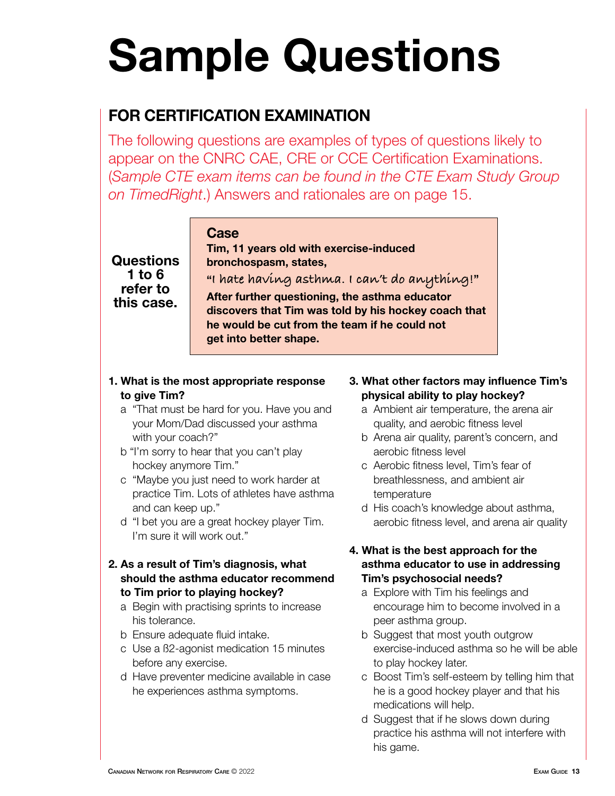## **Sample Questions**

### **FOR CERTIFICATION EXAMINATION**

The following questions are examples of types of questions likely to appear on the CNRC CAE, CRE or CCE Certification Examinations. (*Sample CTE exam items can be found in the CTE Exam Study Group on TimedRight*.) Answers and rationales are on page 15.

**Questions 1 to 6 refer to this case.**

**Tim, 11 years old with exercise-induced bronchospasm, states,**

**"I hate having asthma. I can't do anything!"** 

**After further questioning, the asthma educator discovers that Tim was told by his hockey coach that he would be cut from the team if he could not get into better shape.**

#### **1. What is the most appropriate response to give Tim?**

**Case**

- a "That must be hard for you. Have you and your Mom/Dad discussed your asthma with your coach?"
- b "I'm sorry to hear that you can't play hockey anymore Tim."
- c "Maybe you just need to work harder at practice Tim. Lots of athletes have asthma and can keep up."
- d "I bet you are a great hockey player Tim. I'm sure it will work out."

#### **2. As a result of Tim's diagnosis, what should the asthma educator recommend to Tim prior to playing hockey?**

- a Begin with practising sprints to increase his tolerance.
- b Ensure adequate fluid intake.
- c Use a ß2-agonist medication 15 minutes before any exercise.
- d Have preventer medicine available in case he experiences asthma symptoms.

#### **3. What other factors may influence Tim's physical ability to play hockey?**

- a Ambient air temperature, the arena air quality, and aerobic fitness level
- b Arena air quality, parent's concern, and aerobic fitness level
- c Aerobic fitness level, Tim's fear of breathlessness, and ambient air temperature
- d His coach's knowledge about asthma, aerobic fitness level, and arena air quality

#### **4. What is the best approach for the asthma educator to use in addressing Tim's psychosocial needs?**

- a Explore with Tim his feelings and encourage him to become involved in a peer asthma group.
- b Suggest that most youth outgrow exercise-induced asthma so he will be able to play hockey later.
- c Boost Tim's self-esteem by telling him that he is a good hockey player and that his medications will help.
- d Suggest that if he slows down during practice his asthma will not interfere with his game.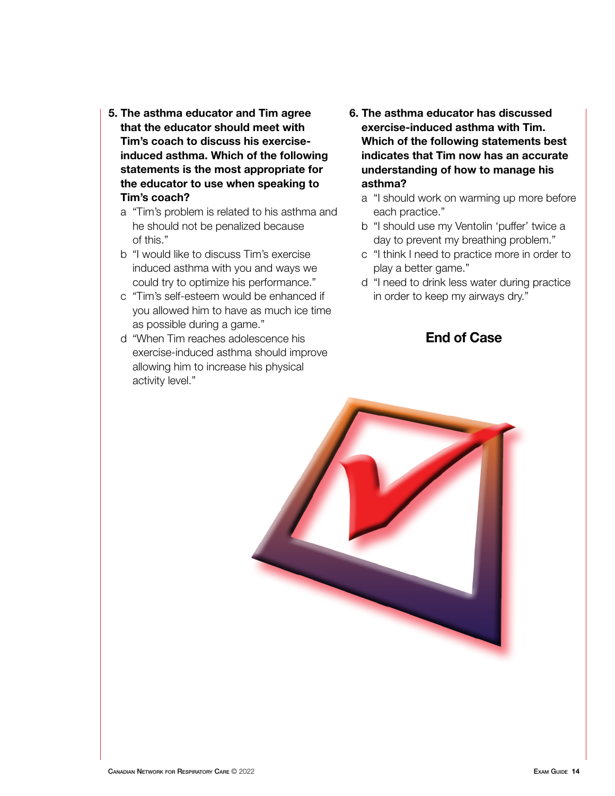- **5. The asthma educator and Tim agree that the educator should meet with Tim's coach to discuss his exerciseinduced asthma. Which of the following statements is the most appropriate for the educator to use when speaking to Tim's coach?**
	- a "Tim's problem is related to his asthma and he should not be penalized because of this."
	- b "I would like to discuss Tim's exercise induced asthma with you and ways we could try to optimize his performance."
	- c "Tim's self-esteem would be enhanced if you allowed him to have as much ice time as possible during a game."
	- d "When Tim reaches adolescence his exercise-induced asthma should improve allowing him to increase his physical activity level."
- **6. The asthma educator has discussed exercise-induced asthma with Tim. Which of the following statements best indicates that Tim now has an accurate understanding of how to manage his asthma?**
	- a "I should work on warming up more before each practice."
	- b "I should use my Ventolin 'puffer' twice a day to prevent my breathing problem."
	- c "I think I need to practice more in order to play a better game."
	- d "I need to drink less water during practice in order to keep my airways dry."

#### **End of Case**

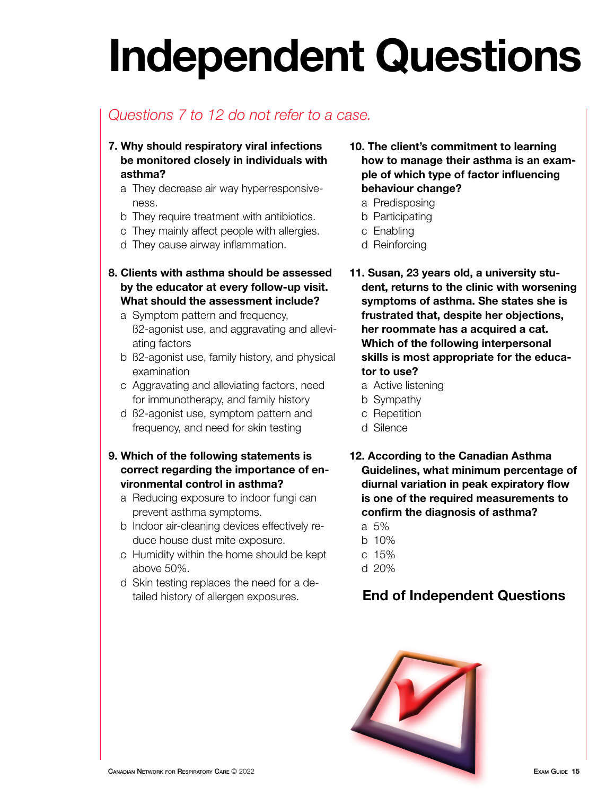## **Independent Questions**

### *Questions 7 to 12 do not refer to a case.*

- **7. Why should respiratory viral infections be monitored closely in individuals with asthma?**
	- a They decrease air way hyperresponsiveness.
	- b They require treatment with antibiotics.
	- c They mainly affect people with allergies.
	- d They cause airway inflammation.

#### **8. Clients with asthma should be assessed by the educator at every follow-up visit. What should the assessment include?**

- a Symptom pattern and frequency, ß2-agonist use, and aggravating and alleviating factors
- b ß2-agonist use, family history, and physical examination
- c Aggravating and alleviating factors, need for immunotherapy, and family history
- d ß2-agonist use, symptom pattern and frequency, and need for skin testing
- **9. Which of the following statements is correct regarding the importance of environmental control in asthma?**
	- a Reducing exposure to indoor fungi can prevent asthma symptoms.
	- b Indoor air-cleaning devices effectively reduce house dust mite exposure.
	- c Humidity within the home should be kept above 50%.
	- d Skin testing replaces the need for a detailed history of allergen exposures.
- **10. The client's commitment to learning how to manage their asthma is an example of which type of factor influencing behaviour change?**
	- a Predisposing
	- b Participating
	- c Enabling
	- d Reinforcing
- **11. Susan, 23 years old, a university student, returns to the clinic with worsening symptoms of asthma. She states she is frustrated that, despite her objections, her roommate has a acquired a cat. Which of the following interpersonal skills is most appropriate for the educator to use?**
	- a Active listening
	- b Sympathy
	- c Repetition
	- d Silence
- **12. According to the Canadian Asthma Guidelines, what minimum percentage of diurnal variation in peak expiratory flow is one of the required measurements to confirm the diagnosis of asthma?** a 5%
	-
	- b 10%
	- c 15%
	- d 20%

#### **End of Independent Questions**